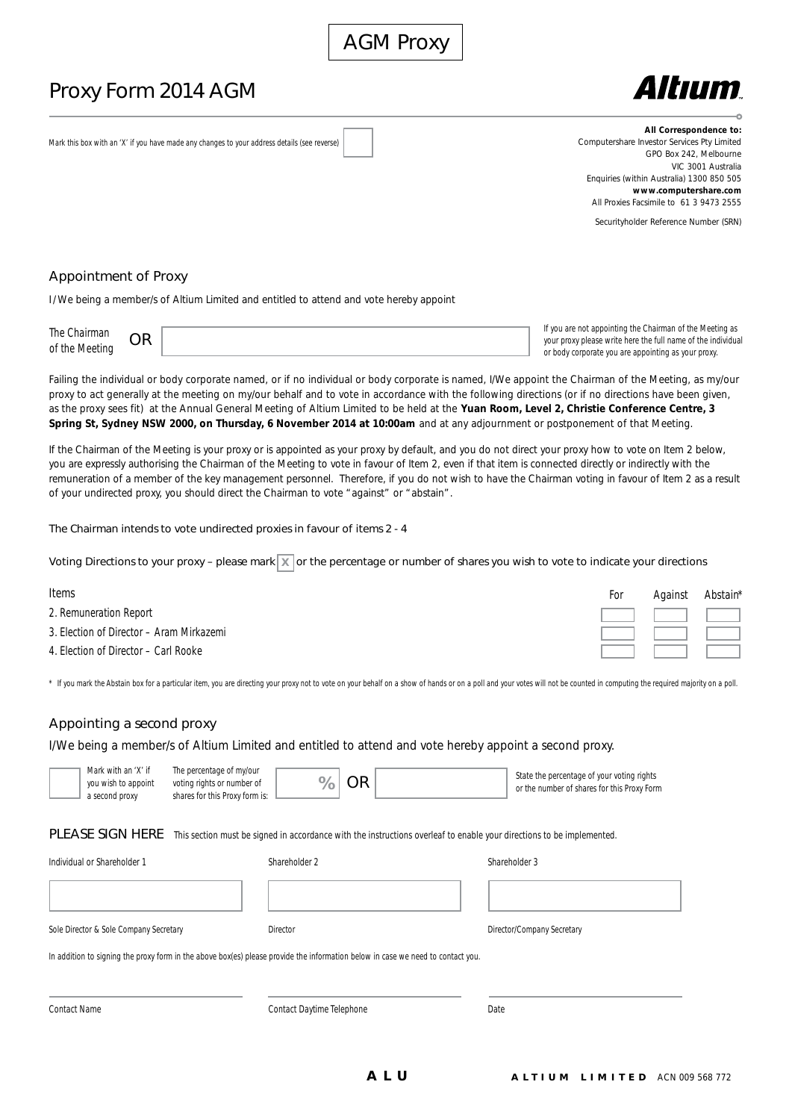# Proxy Form 2014 AGM



Mark this box with an 'X' if you have made any changes to your address details (see reverse)

**All Correspondence to:** Computershare Investor Services Pty Limited GPO Box 242, Melbourne VIC 3001 Australia Enquiries (within Australia) 1300 850 505 **www.computershare.com** All Proxies Facsimile to 61 3 9473 2555

Securityholder Reference Number (SRN)

#### Appointment of Proxy

I/We being a member/s of Altium Limited and entitled to attend and vote hereby appoint

| The $($<br>-01 կ.,<br>of the Mec |  |
|----------------------------------|--|
|                                  |  |

If you are not appointing the Chairman of the Meeting as your proxy please write here the full name of the individual or body corporate you are appointing as your proxy.

Failing the individual or body corporate named, or if no individual or body corporate is named, I/We appoint the Chairman of the Meeting, as my/our proxy to act generally at the meeting on my/our behalf and to vote in accordance with the following directions (or if no directions have been given, as the proxy sees fit) at the Annual General Meeting of Altium Limited to be held at the **Yuan Room, Level 2, Christie Conference Centre, 3 Spring St, Sydney NSW 2000, on Thursday, 6 November 2014 at 10:00am** and at any adjournment or postponement of that Meeting.

If the Chairman of the Meeting is your proxy or is appointed as your proxy by default, and you do not direct your proxy how to vote on Item 2 below, you are expressly authorising the Chairman of the Meeting to vote in favour of Item 2, even if that item is connected directly or indirectly with the remuneration of a member of the key management personnel. Therefore, if you do not wish to have the Chairman voting in favour of Item 2 as a result of your undirected proxy, you should direct the Chairman to vote "against" or "abstain".

The Chairman intends to vote undirected proxies in favour of items 2 - 4

Voting Directions to your proxy – please mark  $\sqrt{x}$  or the percentage or number of shares you wish to vote to indicate your directions

## Items 2. Remuneration Report 3. Election of Director – Aram Mirkazemi 4. Election of Director – Carl Rooke For Against Abstain\*

\* If you mark the Abstain box for a particular item, you are directing your proxy not to vote on your behalf on a show of hands or on a poll and your votes will not be counted in computing the required majority on a poll.

# Appointing a second proxy

I/We being a member/s of Altium Limited and entitled to attend and vote hereby appoint a second proxy.

| Mark with an 'X' if<br>you wish to appoint<br>a second proxy                                                                    | The percentage of my/our<br>voting rights or number of<br>shares for this Proxy form is: | <b>OR</b><br>%            | State the percentage of your voting rights<br>or the number of shares for this Proxy Form                             |
|---------------------------------------------------------------------------------------------------------------------------------|------------------------------------------------------------------------------------------|---------------------------|-----------------------------------------------------------------------------------------------------------------------|
| PLEASE SIGN HERE                                                                                                                |                                                                                          |                           | This section must be signed in accordance with the instructions overleaf to enable your directions to be implemented. |
| Individual or Shareholder 1                                                                                                     |                                                                                          | Shareholder 2             | Shareholder 3                                                                                                         |
|                                                                                                                                 |                                                                                          |                           |                                                                                                                       |
| Sole Director & Sole Company Secretary                                                                                          |                                                                                          | Director                  | Director/Company Secretary                                                                                            |
| In addition to signing the proxy form in the above box(es) please provide the information below in case we need to contact you. |                                                                                          |                           |                                                                                                                       |
| Contact Name                                                                                                                    |                                                                                          | Contact Daytime Telephone | Date                                                                                                                  |